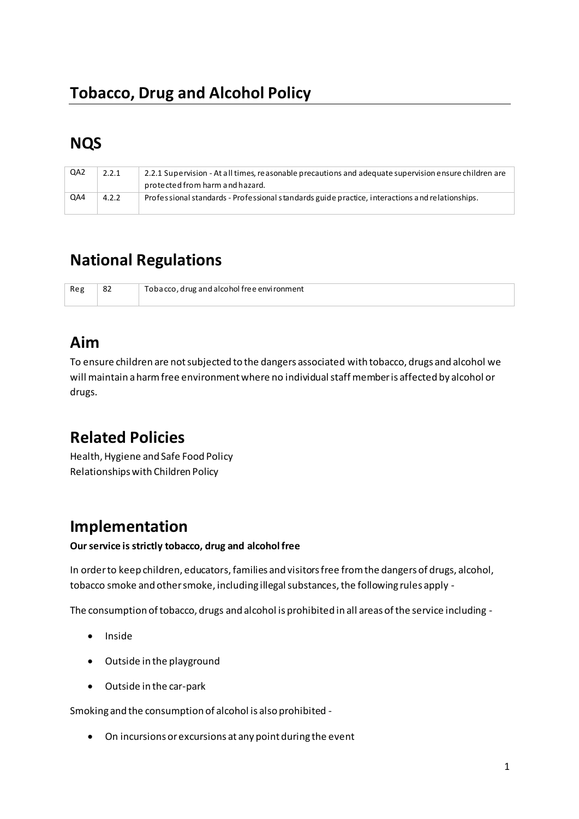### **NQS**

| QA2 | 2.2.1 | 2.2.1 Supervision - At all times, reasonable precautions and adequate supervision ensure children are |
|-----|-------|-------------------------------------------------------------------------------------------------------|
|     |       | protected from harm and hazard.                                                                       |
| QA4 | 4.2.2 | Professional standards - Professional standards guide practice, interactions and relationships.       |

### **National Regulations**

| -82 | Tobacco, drug and alcohol free environment |
|-----|--------------------------------------------|
|     |                                            |

## **Aim**

To ensure children are not subjected to the dangers associated with tobacco, drugs and alcohol we will maintain a harm free environment where no individual staff member is affected by alcohol or drugs.

# **Related Policies**

Health, Hygiene and Safe Food Policy Relationships with Children Policy

### **Implementation**

#### **Our service is strictly tobacco, drug and alcohol free**

In order to keep children, educators, families and visitors free from the dangers of drugs, alcohol, tobacco smoke and other smoke, including illegal substances, the following rules apply -

The consumption of tobacco, drugs and alcohol is prohibited in all areas of the service including -

- Inside
- Outside in the playground
- Outside in the car-park

Smoking and the consumption of alcohol is also prohibited -

• On incursions or excursions at any point during the event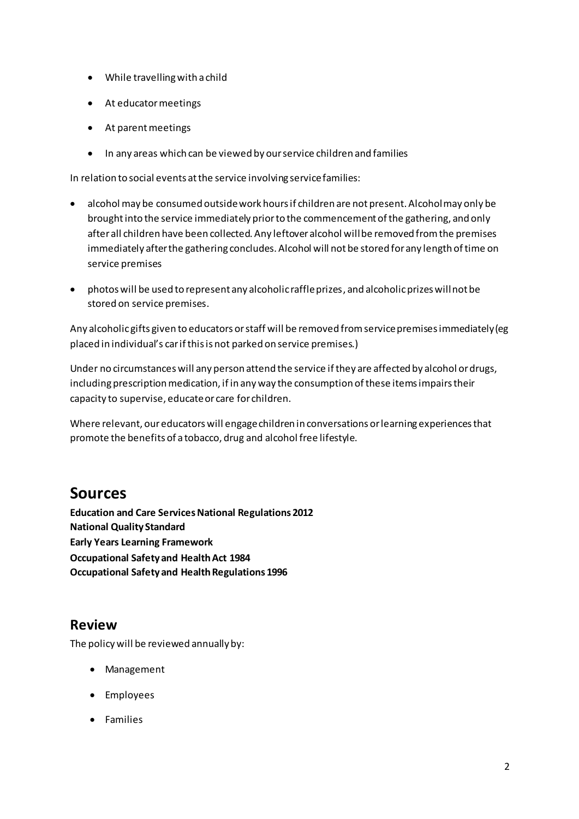- While travelling with a child
- At educator meetings
- At parent meetings
- In any areas which can be viewed by our service children and families

In relation to social events at the service involving service families:

- alcohol may be consumed outside work hours if children are not present. Alcohol may only be brought into the service immediately prior to the commencement of the gathering, and only after all children have been collected. Any leftover alcohol will be removed from the premises immediately after the gathering concludes. Alcohol will not be stored for any length of time on service premises
- photos will be used to represent any alcoholic raffle prizes, and alcoholic prizes will not be stored on service premises.

Any alcoholic gifts given to educators or staff will be removed from service premises immediately (eg placed in individual's car if this is not parked on service premises.)

Under no circumstances will any person attend the service if they are affected by alcohol or drugs, including prescription medication, if in any way the consumption of these items impairs their capacity to supervise, educate or care for children.

Where relevant, our educators will engage children in conversations or learning experiences that promote the benefits of a tobacco, drug and alcohol free lifestyle.

#### **Sources**

**Education and Care Services National Regulations 2012 National Quality Standard Early Years Learning Framework Occupational Safety and Health Act 1984 Occupational Safety and Health Regulations 1996** 

#### **Review**

The policy will be reviewed annually by:

- Management
- Employees
- Families